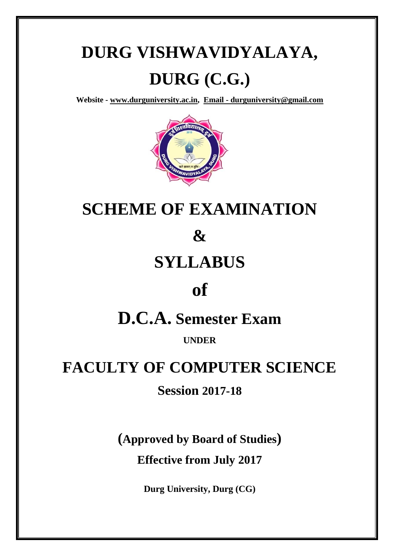# **DURG VISHWAVIDYALAYA, DURG (C.G.)**

**Website - [www.durguniversity.ac.in,](http://www.durguniversity.ac.in/) Email - [durguniversity@gmail.com](mailto:Email%20-%20durguniversity@gmail.com)**



## **SCHEME OF EXAMINATION**

### **&**

## **SYLLABUS**

## **of**

## **D.C.A. Semester Exam**

**UNDER**

## **FACULTY OF COMPUTER SCIENCE**

### **Session 2017-18**

**(Approved by Board of Studies)**

**Effective from July 2017**

**Durg University, Durg (CG)**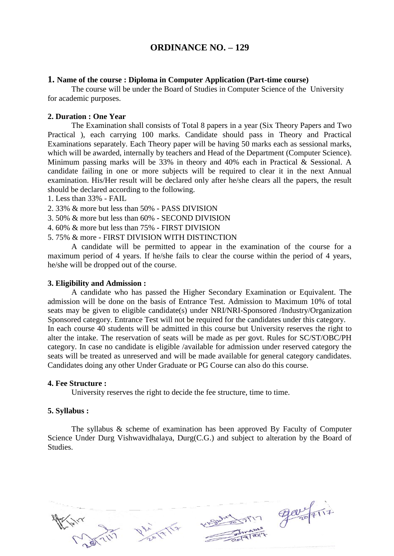#### **ORDINANCE NO. – 129**

#### **1. Name of the course : Diploma in Computer Application (Part-time course)**

The course will be under the Board of Studies in Computer Science of the University for academic purposes.

#### **2. Duration : One Year**

The Examination shall consists of Total 8 papers in a year (Six Theory Papers and Two Practical ), each carrying 100 marks. Candidate should pass in Theory and Practical Examinations separately. Each Theory paper will be having 50 marks each as sessional marks, which will be awarded, internally by teachers and Head of the Department (Computer Science). Minimum passing marks will be 33% in theory and 40% each in Practical & Sessional. A candidate failing in one or more subjects will be required to clear it in the next Annual examination. His/Her result will be declared only after he/she clears all the papers, the result should be declared according to the following.

1. Less than 33% - FAIL

- 2. 33% & more but less than 50% PASS DIVISION
- 3. 50% & more but less than 60% SECOND DIVISION
- 4. 60% & more but less than 75% FIRST DIVISION
- 5. 75% & more FIRST DIVISION WITH DISTINCTION

A candidate will be permitted to appear in the examination of the course for a maximum period of 4 years. If he/she fails to clear the course within the period of 4 years, he/she will be dropped out of the course.

#### **3. Eligibility and Admission :**

A candidate who has passed the Higher Secondary Examination or Equivalent. The admission will be done on the basis of Entrance Test. Admission to Maximum 10% of total seats may be given to eligible candidate(s) under NRI/NRI-Sponsored /Industry/Organization Sponsored category. Entrance Test will not be required for the candidates under this category. In each course 40 students will be admitted in this course but University reserves the right to alter the intake. The reservation of seats will be made as per govt. Rules for SC/ST/OBC/PH category. In case no candidate is eligible /available for admission under reserved category the seats will be treated as unreserved and will be made available for general category candidates. Candidates doing any other Under Graduate or PG Course can also do this course.

#### **4. Fee Structure :**

University reserves the right to decide the fee structure, time to time.

#### **5. Syllabus :**

The syllabus & scheme of examination has been approved By Faculty of Computer Science Under Durg Vishwavidhalaya, Durg(C.G.) and subject to alteration by the Board of **Studies** 

Sheto Tin gave Fiit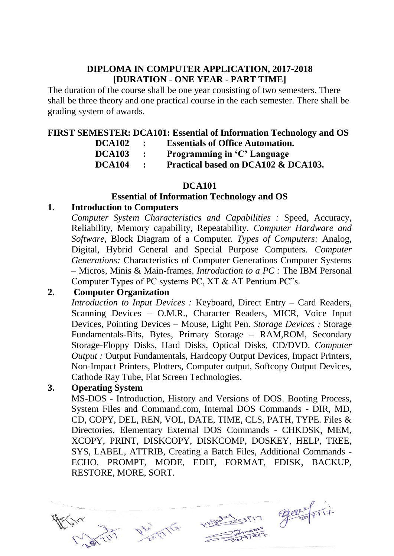#### **DIPLOMA IN COMPUTER APPLICATION, 2017-2018 [DURATION - ONE YEAR - PART TIME]**

The duration of the course shall be one year consisting of two semesters. There shall be three theory and one practical course in the each semester. There shall be grading system of awards.

#### **FIRST SEMESTER: DCA101: Essential of Information Technology and OS**

| <b>DCA102</b> | $\bullet$      | <b>Essentials of Office Automation.</b> |
|---------------|----------------|-----------------------------------------|
| <b>DCA103</b> | $\mathbf{r}$   | Programming in 'C' Language             |
| <b>DCA104</b> | $\mathbb{R}^n$ | Practical based on DCA102 & DCA103.     |

#### **DCA101**

#### **Essential of Information Technology and OS**

#### **1. Introduction to Computers**

*Computer System Characteristics and Capabilities :* Speed, Accuracy, Reliability, Memory capability, Repeatability. *Computer Hardware and Software,* Block Diagram of a Computer. *Types of Computers:* Analog, Digital, Hybrid General and Special Purpose Computers. *Computer Generations:* Characteristics of Computer Generations Computer Systems – Micros, Minis & Main-frames. *Introduction to a PC :* The IBM Personal Computer Types of PC systems PC, XT & AT Pentium PC"s.

#### **2. Computer Organization**

*Introduction to Input Devices :* Keyboard, Direct Entry – Card Readers, Scanning Devices – O.M.R., Character Readers, MICR, Voice Input Devices, Pointing Devices – Mouse, Light Pen. *Storage Devices :* Storage Fundamentals-Bits, Bytes, Primary Storage – RAM,ROM, Secondary Storage-Floppy Disks, Hard Disks, Optical Disks, CD/DVD. *Computer Output : Output Fundamentals, Hardcopy Output Devices, Impact Printers,* Non-Impact Printers, Plotters, Computer output, Softcopy Output Devices, Cathode Ray Tube, Flat Screen Technologies.

#### **3. Operating System**

MS-DOS - Introduction, History and Versions of DOS. Booting Process, System Files and Command.com, Internal DOS Commands - DIR, MD, CD, COPY, DEL, REN, VOL, DATE, TIME, CLS, PATH, TYPE. Files & Directories, Elementary External DOS Commands - CHKDSK, MEM, XCOPY, PRINT, DISKCOPY, DISKCOMP, DOSKEY, HELP, TREE, SYS, LABEL, ATTRIB, Creating a Batch Files, Additional Commands - ECHO, PROMPT, MODE, EDIT, FORMAT, FDISK, BACKUP, RESTORE, MORE, SORT.



Weburning gargerit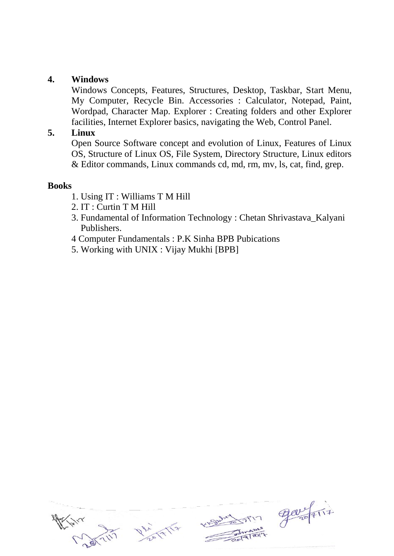#### **4. Windows**

Windows Concepts, Features, Structures, Desktop, Taskbar, Start Menu, My Computer, Recycle Bin. Accessories : Calculator, Notepad, Paint, Wordpad, Character Map. Explorer : Creating folders and other Explorer facilities, Internet Explorer basics, navigating the Web, Control Panel.

#### **5. Linux**

Open Source Software concept and evolution of Linux, Features of Linux OS, Structure of Linux OS, File System, Directory Structure, Linux editors & Editor commands, Linux commands cd, md, rm, mv, ls, cat, find, grep.

#### **Books**

- 1. Using IT : Williams T M Hill
- 2. IT : Curtin T M Hill
- 3. Fundamental of Information Technology : Chetan Shrivastava\_Kalyani Publishers.
- 4 Computer Fundamentals : P.K Sinha BPB Pubications
- 5. Working with UNIX : Vijay Mukhi [BPB]

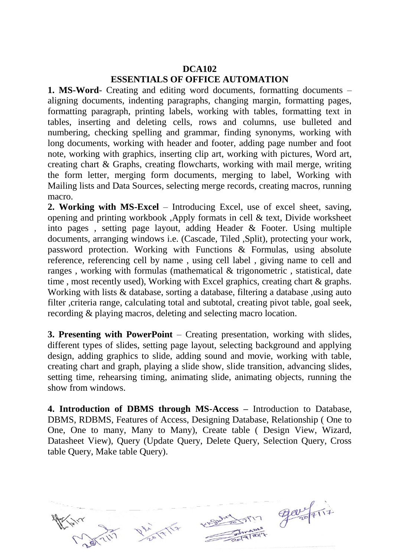#### **DCA102 ESSENTIALS OF OFFICE AUTOMATION**

**1. MS-Word**- Creating and editing word documents, formatting documents – aligning documents, indenting paragraphs, changing margin, formatting pages, formatting paragraph, printing labels, working with tables, formatting text in tables, inserting and deleting cells, rows and columns, use bulleted and numbering, checking spelling and grammar, finding synonyms, working with long documents, working with header and footer, adding page number and foot note, working with graphics, inserting clip art, working with pictures, Word art, creating chart & Graphs, creating flowcharts, working with mail merge, writing the form letter, merging form documents, merging to label, Working with Mailing lists and Data Sources, selecting merge records, creating macros, running macro.

**2. Working with MS-Excel** – Introducing Excel, use of excel sheet, saving, opening and printing workbook ,Apply formats in cell & text, Divide worksheet into pages , setting page layout, adding Header & Footer. Using multiple documents, arranging windows i.e. (Cascade, Tiled ,Split), protecting your work, password protection. Working with Functions & Formulas, using absolute reference, referencing cell by name , using cell label , giving name to cell and ranges , working with formulas (mathematical & trigonometric , statistical, date time , most recently used), Working with Excel graphics, creating chart & graphs. Working with lists & database, sorting a database, filtering a database, using auto filter ,criteria range, calculating total and subtotal, creating pivot table, goal seek, recording & playing macros, deleting and selecting macro location.

**3. Presenting with PowerPoint** – Creating presentation, working with slides, different types of slides, setting page layout, selecting background and applying design, adding graphics to slide, adding sound and movie, working with table, creating chart and graph, playing a slide show, slide transition, advancing slides, setting time, rehearsing timing, animating slide, animating objects, running the show from windows.

**4. Introduction of DBMS through MS-Access –** Introduction to Database, DBMS, RDBMS, Features of Access, Designing Database, Relationship ( One to One, One to many, Many to Many), Create table ( Design View, Wizard, Datasheet View), Query (Update Query, Delete Query, Selection Query, Cross table Query, Make table Query).

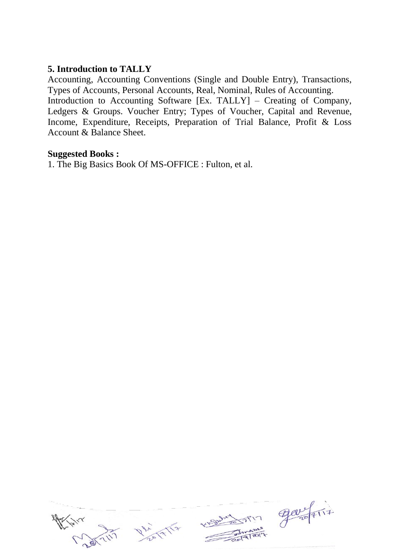#### **5. Introduction to TALLY**

Accounting, Accounting Conventions (Single and Double Entry), Transactions, Types of Accounts, Personal Accounts, Real, Nominal, Rules of Accounting. Introduction to Accounting Software [Ex. TALLY] – Creating of Company, Ledgers & Groups. Voucher Entry; Types of Voucher, Capital and Revenue, Income, Expenditure, Receipts, Preparation of Trial Balance, Profit & Loss Account & Balance Sheet.

#### **Suggested Books :**

1. The Big Basics Book Of MS-OFFICE : Fulton, et al.

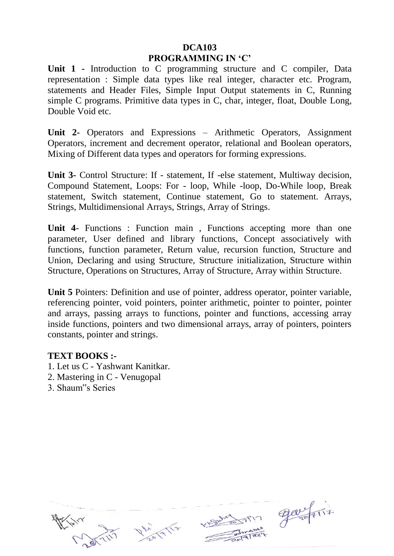#### **DCA103 PROGRAMMING IN 'C'**

**Unit 1 -** Introduction to C programming structure and C compiler, Data representation : Simple data types like real integer, character etc. Program, statements and Header Files, Simple Input Output statements in C, Running simple C programs. Primitive data types in C, char, integer, float, Double Long, Double Void etc.

**Unit 2-** Operators and Expressions – Arithmetic Operators, Assignment Operators, increment and decrement operator, relational and Boolean operators, Mixing of Different data types and operators for forming expressions.

**Unit 3-** Control Structure: If - statement, If -else statement, Multiway decision, Compound Statement, Loops: For - loop, While -loop, Do-While loop, Break statement, Switch statement, Continue statement, Go to statement. Arrays, Strings, Multidimensional Arrays, Strings, Array of Strings.

**Unit 4**- Functions : Function main , Functions accepting more than one parameter, User defined and library functions, Concept associatively with functions, function parameter, Return value, recursion function, Structure and Union, Declaring and using Structure, Structure initialization, Structure within Structure, Operations on Structures, Array of Structure, Array within Structure.

**Unit 5** Pointers: Definition and use of pointer, address operator, pointer variable, referencing pointer, void pointers, pointer arithmetic, pointer to pointer, pointer and arrays, passing arrays to functions, pointer and functions, accessing array inside functions, pointers and two dimensional arrays, array of pointers, pointers constants, pointer and strings.

#### **TEXT BOOKS :-**

- 1. Let us C Yashwant Kanitkar.
- 2. Mastering in C Venugopal
- 3. Shaum"s Series





m garfir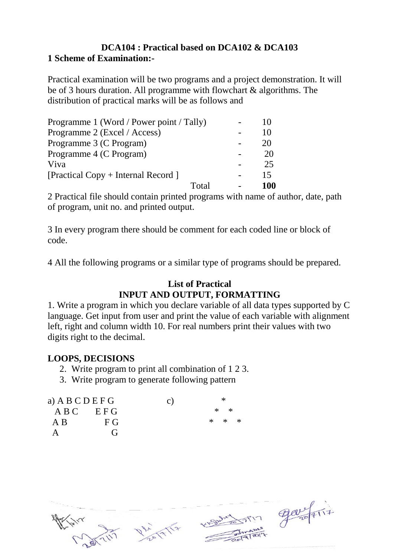#### **DCA104 : Practical based on DCA102 & DCA103 1 Scheme of Examination:-**

Practical examination will be two programs and a project demonstration. It will be of 3 hours duration. All programme with flowchart & algorithms. The distribution of practical marks will be as follows and

| Programme 1 (Word / Power point / Tally) |     |
|------------------------------------------|-----|
| Programme 2 (Excel / Access)             | 10  |
| Programme 3 (C Program)                  | 20  |
| Programme 4 (C Program)                  | 20  |
| Viva                                     | 25  |
| [Practical Copy + Internal Record]       | 15  |
| Total                                    | 100 |

2 Practical file should contain printed programs with name of author, date, path of program, unit no. and printed output.

3 In every program there should be comment for each coded line or block of code.

4 All the following programs or a similar type of programs should be prepared.

#### **List of Practical INPUT AND OUTPUT, FORMATTING**

1. Write a program in which you declare variable of all data types supported by C language. Get input from user and print the value of each variable with alignment left, right and column width 10. For real numbers print their values with two digits right to the decimal.

#### **LOOPS, DECISIONS**

- 2. Write program to print all combination of 1 2 3.
- 3. Write program to generate following pattern

| a) A B C D E F G |              | $\mathbf{C}$ ) | $^{\ast}$ |  |
|------------------|--------------|----------------|-----------|--|
| $ABC$ $EFG$      |              |                | $*$ *     |  |
| A B              | F G          |                | $* * *$   |  |
|                  | $\mathbf{G}$ |                |           |  |



Dhi Alla

Subart Min gave First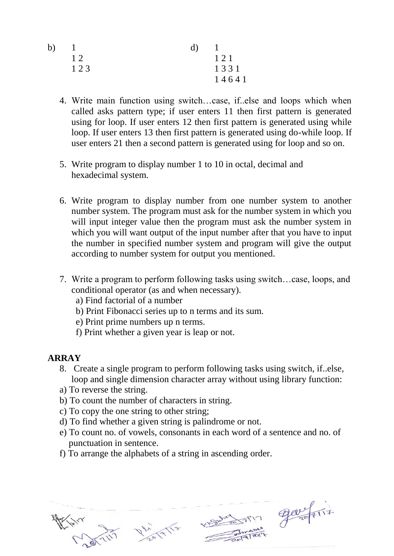| b) |     | d) |       |
|----|-----|----|-------|
|    | 12  |    | 121   |
|    | 123 |    | 1331  |
|    |     |    | 14641 |

- 4. Write main function using switch…case, if..else and loops which when called asks pattern type; if user enters 11 then first pattern is generated using for loop. If user enters 12 then first pattern is generated using while loop. If user enters 13 then first pattern is generated using do-while loop. If user enters 21 then a second pattern is generated using for loop and so on.
- 5. Write program to display number 1 to 10 in octal, decimal and hexadecimal system.
- 6. Write program to display number from one number system to another number system. The program must ask for the number system in which you will input integer value then the program must ask the number system in which you will want output of the input number after that you have to input the number in specified number system and program will give the output according to number system for output you mentioned.
- 7. Write a program to perform following tasks using switch…case, loops, and conditional operator (as and when necessary).
	- a) Find factorial of a number
	- b) Print Fibonacci series up to n terms and its sum.
	- e) Print prime numbers up n terms.
	- f) Print whether a given year is leap or not.

### **ARRAY**

- 8. Create a single program to perform following tasks using switch, if..else, loop and single dimension character array without using library function:
- a) To reverse the string.
- b) To count the number of characters in string.
- c) To copy the one string to other string;
- d) To find whether a given string is palindrome or not.
- e) To count no. of vowels, consonants in each word of a sentence and no. of punctuation in sentence.
- f) To arrange the alphabets of a string in ascending order.



FIT ELEVISITIE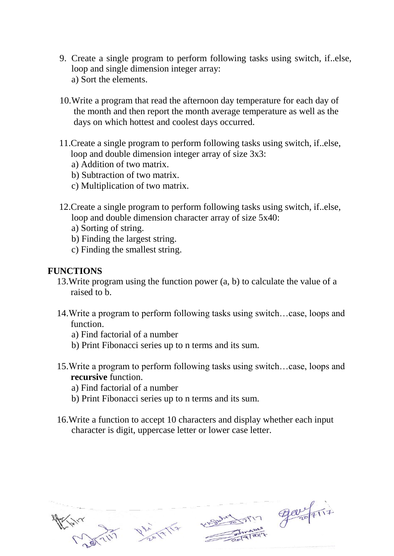- 9. Create a single program to perform following tasks using switch, if..else, loop and single dimension integer array: a) Sort the elements.
- 10.Write a program that read the afternoon day temperature for each day of the month and then report the month average temperature as well as the days on which hottest and coolest days occurred.
- 11.Create a single program to perform following tasks using switch, if..else, loop and double dimension integer array of size 3x3:
	- a) Addition of two matrix.
	- b) Subtraction of two matrix.
	- c) Multiplication of two matrix.
- 12.Create a single program to perform following tasks using switch, if..else, loop and double dimension character array of size 5x40:
	- a) Sorting of string.
	- b) Finding the largest string.
	- c) Finding the smallest string.

#### **FUNCTIONS**

- 13.Write program using the function power (a, b) to calculate the value of a raised to b.
- 14.Write a program to perform following tasks using switch…case, loops and function.
	- a) Find factorial of a number
	- b) Print Fibonacci series up to n terms and its sum.
- 15.Write a program to perform following tasks using switch…case, loops and **recursive** function.
	- a) Find factorial of a number
	- b) Print Fibonacci series up to n terms and its sum.
- 16.Write a function to accept 10 characters and display whether each input character is digit, uppercase letter or lower case letter.



Dhi 17/17

KISWAR STIM GOVERNATION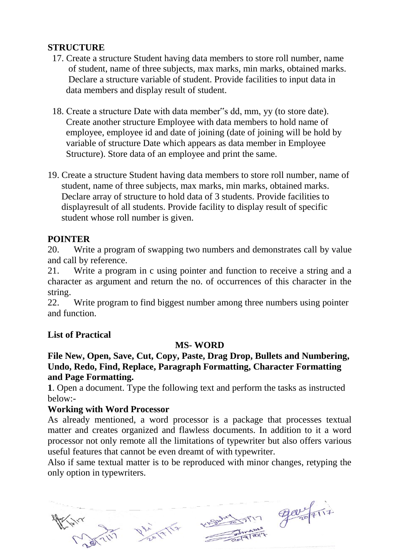#### **STRUCTURE**

- 17. Create a structure Student having data members to store roll number, name of student, name of three subjects, max marks, min marks, obtained marks. Declare a structure variable of student. Provide facilities to input data in data members and display result of student.
- 18. Create a structure Date with data member"s dd, mm, yy (to store date). Create another structure Employee with data members to hold name of employee, employee id and date of joining (date of joining will be hold by variable of structure Date which appears as data member in Employee Structure). Store data of an employee and print the same.
- 19. Create a structure Student having data members to store roll number, name of student, name of three subjects, max marks, min marks, obtained marks. Declare array of structure to hold data of 3 students. Provide facilities to displayresult of all students. Provide facility to display result of specific student whose roll number is given.

#### **POINTER**

20. Write a program of swapping two numbers and demonstrates call by value and call by reference.

21. Write a program in c using pointer and function to receive a string and a character as argument and return the no. of occurrences of this character in the string.

22. Write program to find biggest number among three numbers using pointer and function.

#### **List of Practical**

#### **MS- WORD**

#### **File New, Open, Save, Cut, Copy, Paste, Drag Drop, Bullets and Numbering, Undo, Redo, Find, Replace, Paragraph Formatting, Character Formatting and Page Formatting.**

**1**. Open a document. Type the following text and perform the tasks as instructed below:-

#### **Working with Word Processor**

As already mentioned, a word processor is a package that processes textual matter and creates organized and flawless documents. In addition to it a word processor not only remote all the limitations of typewriter but also offers various useful features that cannot be even dreamt of with typewriter.

Also if same textual matter is to be reproduced with minor changes, retyping the only option in typewriters.



Subation gavefire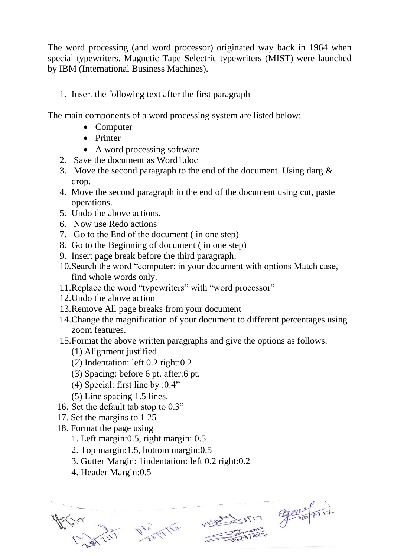The word processing (and word processor) originated way back in 1964 when special typewriters. Magnetic Tape Selectric typewriters (MIST) were launched by IBM (International Business Machines).

1. Insert the following text after the first paragraph

The main components of a word processing system are listed below:

- Computer
- Printer
- A word processing software
- 2. Save the document as Word1.doc
- 3. Move the second paragraph to the end of the document. Using darg  $\&$ drop.
- 4. Move the second paragraph in the end of the document using cut, paste operations.
- 5. Undo the above actions.
- 6. Now use Redo actions
- 7. Go to the End of the document ( in one step)
- 8. Go to the Beginning of document ( in one step)
- 9. Insert page break before the third paragraph.
- 10.Search the word "computer: in your document with options Match case, find whole words only.
- 11.Replace the word "typewriters" with "word processor"
- 12.Undo the above action
- 13.Remove All page breaks from your document
- 14.Change the magnification of your document to different percentages using zoom features.
- 15.Format the above written paragraphs and give the options as follows:
	- (1) Alignment justified
	- (2) Indentation: left 0.2 right:0.2
	- (3) Spacing: before 6 pt. after:6 pt.
	- (4) Special: first line by :0.4"
	- (5) Line spacing 1.5 lines.
- 16. Set the default tab stop to 0.3"
- 17. Set the margins to 1.25
- 18. Format the page using
	- 1. Left margin:0.5, right margin: 0.5
	- 2. Top margin:1.5, bottom margin:0.5
	- 3. Gutter Margin: 1indentation: left 0.2 right:0.2
	- 4. Header Margin:0.5

Dhi 17/17

MONARCTION ELOVERTI7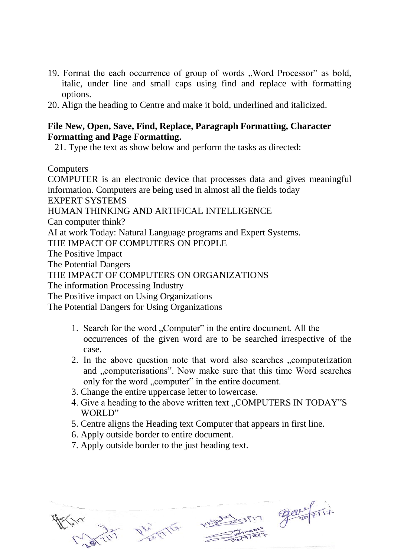- 19. Format the each occurrence of group of words "Word Processor" as bold, italic, under line and small caps using find and replace with formatting options.
- 20. Align the heading to Centre and make it bold, underlined and italicized.

#### **File New, Open, Save, Find, Replace, Paragraph Formatting, Character Formatting and Page Formatting.**

21. Type the text as show below and perform the tasks as directed:

**Computers** 

COMPUTER is an electronic device that processes data and gives meaningful information. Computers are being used in almost all the fields today EXPERT SYSTEMS HUMAN THINKING AND ARTIFICAL INTELLIGENCE Can computer think? AI at work Today: Natural Language programs and Expert Systems. THE IMPACT OF COMPUTERS ON PEOPLE The Positive Impact The Potential Dangers THE IMPACT OF COMPUTERS ON ORGANIZATIONS The information Processing Industry The Positive impact on Using Organizations The Potential Dangers for Using Organizations

- 1. Search for the word "Computer" in the entire document. All the occurrences of the given word are to be searched irrespective of the case.
- 2. In the above question note that word also searches "computerization and "computerisations". Now make sure that this time Word searches only for the word "computer" in the entire document.
- 3. Change the entire uppercase letter to lowercase.
- 4. Give a heading to the above written text, COMPUTERS IN TODAY"S WORLD"
- 5. Centre aligns the Heading text Computer that appears in first line.
- 6. Apply outside border to entire document.
- 7. Apply outside border to the just heading text.



Maria John Jan Frit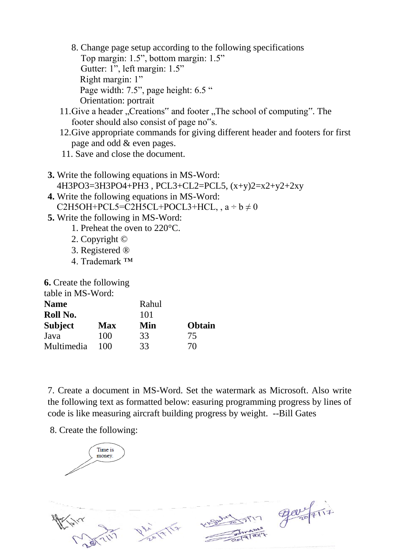- 8. Change page setup according to the following specifications Top margin: 1.5", bottom margin: 1.5" Gutter: 1", left margin: 1.5" Right margin: 1" Page width: 7.5", page height: 6.5 " Orientation: portrait
- 11.Give a header "Creations" and footer "The school of computing". The footer should also consist of page no"s.
- 12.Give appropriate commands for giving different header and footers for first page and odd & even pages.
- 11. Save and close the document.
- **3.** Write the following equations in MS-Word: 4H3PO3=3H3PO4+PH3 , PCL3+CL2=PCL5, (x+y)2=x2+y2+2xy
- **4.** Write the following equations in MS-Word: C2H5OH+PCL5=C2H5CL+POCL3+HCL,  $a \div b \neq 0$
- **5.** Write the following in MS-Word:
	- 1. Preheat the oven to 220°C.
	- 2. Copyright ©
	- 3. Registered ®
	- 4. Trademark ™

**6.** Create the following

table in MS-Word:

| <b>Name</b>    |            | Rahul |               |  |  |  |  |
|----------------|------------|-------|---------------|--|--|--|--|
| Roll No.       |            | 101   |               |  |  |  |  |
| <b>Subject</b> | <b>Max</b> | Min   | <b>Obtain</b> |  |  |  |  |
| Java           | 100        | 33    | 75            |  |  |  |  |
| Multimedia     | 100        | 33    | 70            |  |  |  |  |

7. Create a document in MS-Word. Set the watermark as Microsoft. Also write the following text as formatted below: easuring programming progress by lines of code is like measuring aircraft building progress by weight. --Bill Gates

8. Create the following:

Time is money



 $\pi$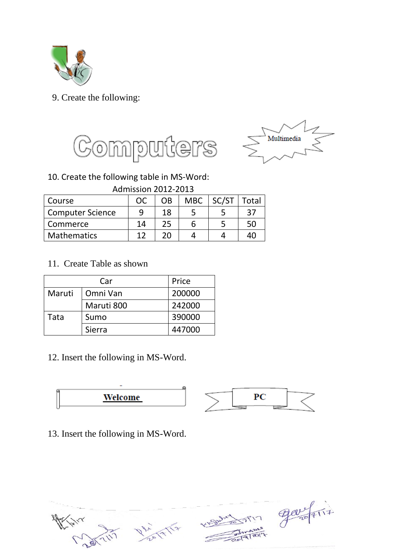

#### 9. Create the following:





#### 10. Create the following table in MS-Word:

Admission 2012-2013

| Course                  | <b>OC</b> | OΒ | MBC | SC/ST | Total |
|-------------------------|-----------|----|-----|-------|-------|
| <b>Computer Science</b> |           | 18 |     |       | 37    |
| Commerce                | 14        | 25 | h   |       | 50    |
| <b>Mathematics</b>      |           | ንበ |     |       |       |

11. Create Table as shown

|        | Car        |        |  |
|--------|------------|--------|--|
| Maruti | Omni Van   | 200000 |  |
|        | Maruti 800 | 242000 |  |
| Tata   | Sumo       | 390000 |  |
|        | Sierra     | 447000 |  |

12. Insert the following in MS-Word.



13. Insert the following in MS-Word.



 $\frac{900}{4117}$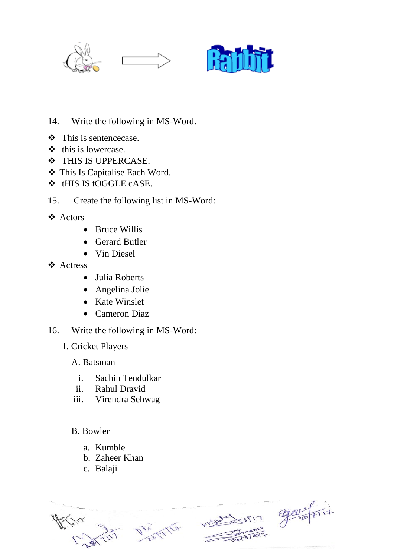



- 14. Write the following in MS-Word.
- This is sentencecase.
- $\triangleleft$  this is lowercase.
- ❖ THIS IS UPPERCASE.
- This Is Capitalise Each Word.
- tHIS IS tOGGLE cASE.
- 15. Create the following list in MS-Word:
- Actors
	- Bruce Willis
	- Gerard Butler
	- Vin Diesel
- Actress
	- Julia Roberts
	- Angelina Jolie
	- Kate Winslet
	- Cameron Diaz
- 16. Write the following in MS-Word:
	- 1. Cricket Players
		- A. Batsman
			- i. Sachin Tendulkar
			- ii. Rahul Dravid
		- iii. Virendra Sehwag
		- B. Bowler
			- a. Kumble
			- b. Zaheer Khan
			- c. Balaji

 $900 - 117$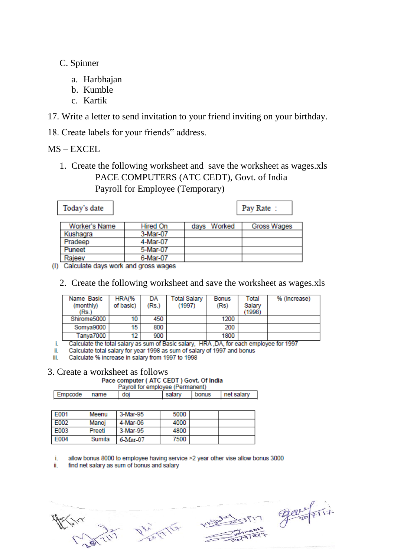- C. Spinner
	- a. Harbhajan
	- b. Kumble
	- c. Kartik
- 17. Write a letter to send invitation to your friend inviting on your birthday.
- 18. Create labels for your friends" address.

MS – EXCEL

1. Create the following worksheet and save the worksheet as wages.xls PACE COMPUTERS (ATC CEDT), Govt. of India

Payroll for Employee (Temporary)

| Today's date  |          |             | Pay Rate:   |
|---------------|----------|-------------|-------------|
| Worker's Name | Hired On | days Worked | Gross Wages |
| Kushagra      | 3-Mar-07 |             |             |
| Pradeep       | 4-Mar-07 |             |             |
| Puneet        | 5-Mar-07 |             |             |
| Rajeev        | 6-Mar-07 |             |             |

(I) Calculate days work and gross wages

|  |  |  |  | 2. Create the following worksheet and save the worksheet as wages.xls |  |
|--|--|--|--|-----------------------------------------------------------------------|--|
|  |  |  |  |                                                                       |  |

| Name Basic<br>(monthly)<br>(Rs.) | HRA(%<br>of basic) | DA<br>(Rs.) | Total Salary<br>(1997) | <b>Bonus</b><br>(Rs) | Total<br>Salary<br>(1998) | % (Increase) |
|----------------------------------|--------------------|-------------|------------------------|----------------------|---------------------------|--------------|
| Shirome5000                      | 10                 | 450         |                        | 1200                 |                           |              |
| Somya9000                        | 15.                | 800         |                        | 200                  |                           |              |
| Tanya7000                        | 12                 | 900         |                        | 1800                 |                           |              |

î. Calculate the total salary as sum of Basic salary, HRA ,DA, for each employee for 1997

ii. Calculate total salary for year 1998 as sum of salary of 1997 and bonus

Calculate % increase in salary from 1997 to 1998 iii.

### 3. Create a worksheet as follows<br>Pace computer (ATC CEDT) Govt. Of India

Payroll for employee (Permanent)

| $\cdots$ , and $\cdots$ are according to the second contract of $\cdots$ |     |        |       |            |  |  |
|--------------------------------------------------------------------------|-----|--------|-------|------------|--|--|
| Empcode<br>name                                                          | doj | salary | bonus | net salary |  |  |
|                                                                          |     |        |       |            |  |  |

| F001 | Meenu  | 3-Mar-95 | 5000 |  |
|------|--------|----------|------|--|
| F002 | Manoj  | 4-Mar-06 | 4000 |  |
| E003 | Preeti | 3-Mar-95 | 4800 |  |
| E004 | Sumita | 6-Mar-07 | 7500 |  |

i. allow bonus 8000 to employee having service >2 year other vise allow bonus 3000

ii. find net salary as sum of bonus and salary

 $\sqrt{17}$ 

Republic of the Content of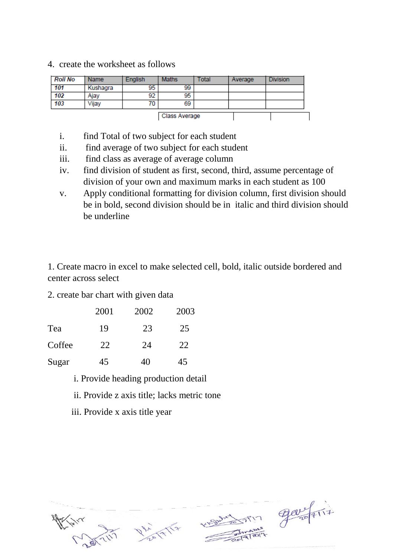4. create the worksheet as follows

| <b>Roll No</b> | <b>Name</b> | English | <b>Maths</b> | Total | Average | <b>Division</b> |  |
|----------------|-------------|---------|--------------|-------|---------|-----------------|--|
| 101            | Kushagra    | 95      | 99           |       |         |                 |  |
| 102            | Ajay        | 92      | 95           |       |         |                 |  |
| 103            | Vijay       | 70      | 69           |       |         |                 |  |
| Class Average  |             |         |              |       |         |                 |  |

- i. find Total of two subject for each student
- ii. find average of two subject for each student
- iii. find class as average of average column
- iv. find division of student as first, second, third, assume percentage of division of your own and maximum marks in each student as 100
- v. Apply conditional formatting for division column, first division should be in bold, second division should be in italic and third division should be underline

1. Create macro in excel to make selected cell, bold, italic outside bordered and center across select

2. create bar chart with given data

|        | 2001 | 2002 | 2003 |
|--------|------|------|------|
| Tea    | 19   | 23   | 25   |
| Coffee | 22   | 24   | 22   |
| Sugar  | 45   | 40   | 45   |

- i. Provide heading production detail
- ii. Provide z axis title; lacks metric tone
- iii. Provide x axis title year



PIN ELEVATION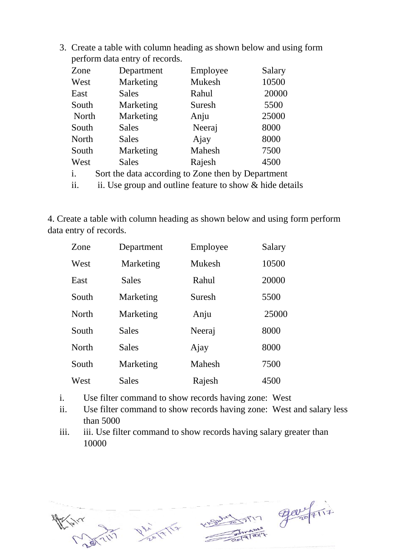3. Create a table with column heading as shown below and using form perform data entry of records.

| Zone           | Department                                         | Employee | Salary |
|----------------|----------------------------------------------------|----------|--------|
| West           | Marketing                                          | Mukesh   | 10500  |
| East           | Sales                                              | Rahul    | 20000  |
| South          | Marketing                                          | Suresh   | 5500   |
| North          | Marketing                                          | Anju     | 25000  |
| South          | Sales                                              | Neeraj   | 8000   |
| North          | Sales                                              | Ajay     | 8000   |
| South          | Marketing                                          | Mahesh   | 7500   |
| West           | Sales                                              | Rajesh   | 4500   |
| $\mathbf{i}$ . | Sort the data according to Zone then by Department |          |        |
|                |                                                    |          |        |

ii. ii. Use group and outline feature to show  $&$  hide details

4. Create a table with column heading as shown below and using form perform data entry of records.

| Zone         | Department   | Employee | Salary |
|--------------|--------------|----------|--------|
| West         | Marketing    | Mukesh   | 10500  |
| East         | <b>Sales</b> | Rahul    | 20000  |
| South        | Marketing    | Suresh   | 5500   |
| <b>North</b> | Marketing    | Anju     | 25000  |
| South        | <b>Sales</b> | Neeraj   | 8000   |
| <b>North</b> | <b>Sales</b> | Ajay     | 8000   |
| South        | Marketing    | Mahesh   | 7500   |
| West         | <b>Sales</b> | Rajesh   | 4500   |

- i. Use filter command to show records having zone: West
- ii. Use filter command to show records having zone: West and salary less than 5000
- iii. iii. Use filter command to show records having salary greater than 10000



Dhi 17/17

Western gargerit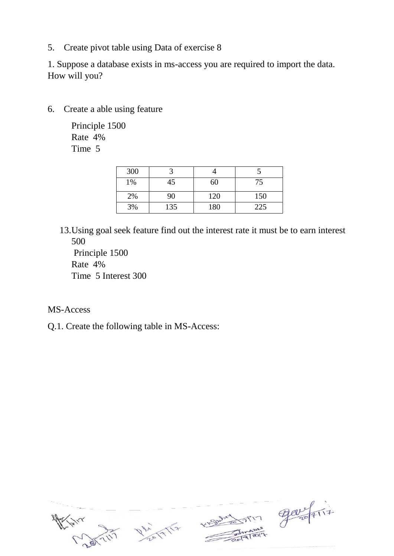5. Create pivot table using Data of exercise 8

1. Suppose a database exists in ms-access you are required to import the data. How will you?

6. Create a able using feature

Principle 1500 Rate 4% Time 5

| 300 |     |     |     |
|-----|-----|-----|-----|
| 1%  | 45  | 60  | 75  |
| 2%  | 90  | 120 | 150 |
| 3%  | 135 | 180 | 225 |

13.Using goal seek feature find out the interest rate it must be to earn interest 500

Principle 1500 Rate 4% Time 5 Interest 300

- MS-Access
- Q.1. Create the following table in MS-Access:

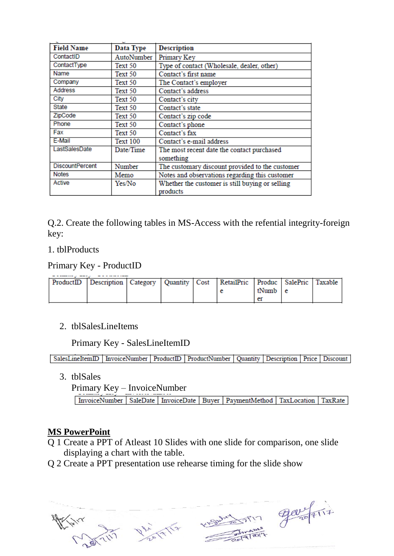| <b>Field Name</b>      | Data Type  | <b>Description</b>                              |
|------------------------|------------|-------------------------------------------------|
| ContactID              | AutoNumber | Primary Key                                     |
| ContactType            | Text 50    | Type of contact (Wholesale, dealer, other)      |
| Name                   | Text 50    | Contact's first name                            |
| Company                | Text 50    | The Contact's employer                          |
| Address                | Text 50    | Contact's address                               |
| City                   | Text 50    | Contact's city                                  |
| State                  | Text 50    | Contact's state                                 |
| ZipCode                | Text 50    | Contact's zip code                              |
| Phone                  | Text 50    | Contact's phone                                 |
| Fax                    | Text 50    | Contact's fax                                   |
| E-Mail                 | Text 100   | Contact's e-mail address                        |
| LastSalesDate          | Date/Time  | The most recent date the contact purchased      |
|                        |            | something                                       |
| <b>DiscountPercent</b> | Number     | The customary discount provided to the customer |
| <b>Notes</b>           | Memo       | Notes and observations regarding this customer  |
| Active                 | Yes/No     | Whether the customer is still buying or selling |
|                        |            | products                                        |

Q.2. Create the following tables in MS-Access with the refential integrity-foreign key:

#### 1. tblProducts

Primary Key - ProductID

| ProductID   Description   Category   Quantity   Cost   RetailPric   Produc   SalePric   Taxable |  |  |         |  |
|-------------------------------------------------------------------------------------------------|--|--|---------|--|
|                                                                                                 |  |  | tNumb e |  |
|                                                                                                 |  |  |         |  |

#### 2. tblSalesLineItems

Primary Key - SalesLineItemID

SalesLineItemID | InvoiceNumber | ProductID | ProductNumber | Quantity | Description | Price | Discount

3. tblSales

Primary Key – InvoiceNumber

InvoiceNumber | SaleDate | InvoiceDate | Buyer | PaymentMethod | TaxLocation | TaxRate

#### **MS PowerPoint**

- Q 1 Create a PPT of Atleast 10 Slides with one slide for comparison, one slide displaying a chart with the table.
- Q 2 Create a PPT presentation use rehearse timing for the slide show





Welchert 1717 gavefilt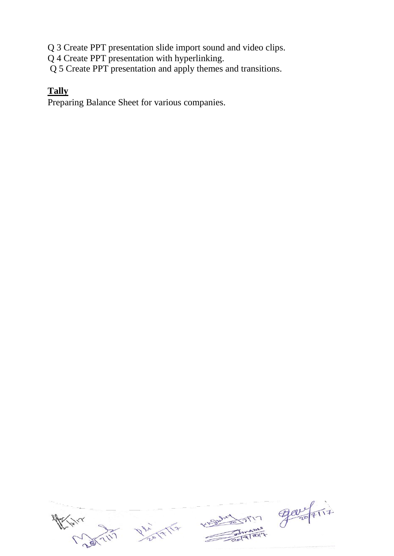Q 3 Create PPT presentation slide import sound and video clips.

Q 4 Create PPT presentation with hyperlinking.

Q 5 Create PPT presentation and apply themes and transitions.

#### **Tally**

Preparing Balance Sheet for various companies.

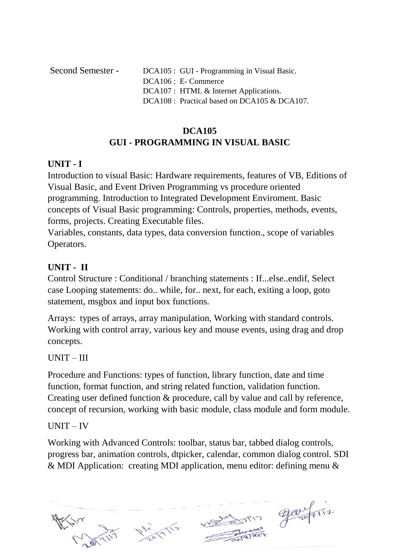Second Semester - DCA105 : GUI - Programming in Visual Basic. DCA106 : E- Commerce DCA107 : HTML & Internet Applications. DCA108 : Practical based on DCA105 & DCA107.

### **DCA105 GUI - PROGRAMMING IN VISUAL BASIC**

#### **UNIT - I**

Introduction to visual Basic: Hardware requirements, features of VB, Editions of Visual Basic, and Event Driven Programming vs procedure oriented programming. Introduction to Integrated Development Enviroment. Basic concepts of Visual Basic programming: Controls, properties, methods, events, forms, projects. Creating Executable files.

Variables, constants, data types, data conversion function., scope of variables Operators.

#### **UNIT - II**

Control Structure : Conditional / branching statements : If...else..endif, Select case Looping statements: do.. while, for.. next, for each, exiting a loop, goto statement, msgbox and input box functions.

Arrays: types of arrays, array manipulation, Working with standard controls. Working with control array, various key and mouse events, using drag and drop concepts.

#### UNIT – III

Procedure and Functions: types of function, library function, date and time function, format function, and string related function, validation function. Creating user defined function & procedure, call by value and call by reference, concept of recursion, working with basic module, class module and form module.

#### UNIT – IV

Working with Advanced Controls: toolbar, status bar, tabbed dialog controls, progress bar, animation controls, dtpicker, calendar, common dialog control. SDI & MDI Application: creating MDI application, menu editor: defining menu &

PIN ELEVATION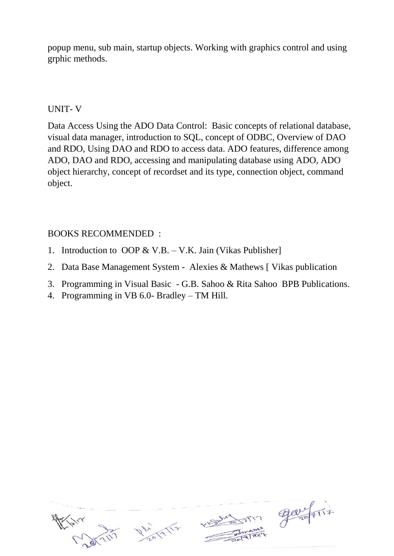popup menu, sub main, startup objects. Working with graphics control and using grphic methods.

#### UNIT- V

Data Access Using the ADO Data Control: Basic concepts of relational database, visual data manager, introduction to SQL, concept of ODBC, Overview of DAO and RDO, Using DAO and RDO to access data. ADO features, difference among ADO, DAO and RDO, accessing and manipulating database using ADO, ADO object hierarchy, concept of recordset and its type, connection object, command object.

#### BOOKS RECOMMENDED :

- 1. Introduction to OOP & V.B. V.K. Jain (Vikas Publisher]
- 2. Data Base Management System Alexies & Mathews [ Vikas publication
- 3. Programming in Visual Basic G.B. Sahoo & Rita Sahoo BPB Publications.
- 4. Programming in VB 6.0- Bradley TM Hill.

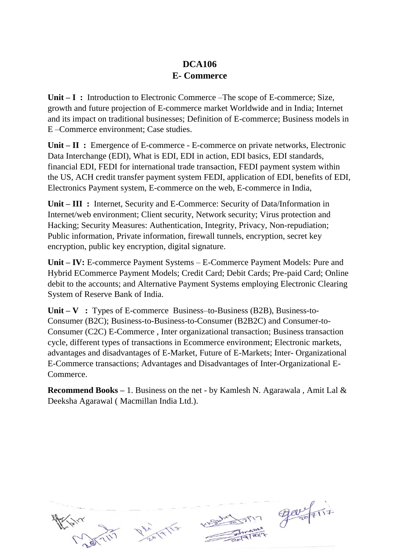### **DCA106 E- Commerce**

Unit – I: Introduction to Electronic Commerce –The scope of E-commerce; Size, growth and future projection of E-commerce market Worldwide and in India; Internet and its impact on traditional businesses; Definition of E-commerce; Business models in E –Commerce environment; Case studies.

**Unit – II :** Emergence of E-commerce - E-commerce on private networks, Electronic Data Interchange (EDI), What is EDI, EDI in action, EDI basics, EDI standards, financial EDI, FEDI for international trade transaction, FEDI payment system within the US, ACH credit transfer payment system FEDI, application of EDI, benefits of EDI, Electronics Payment system, E-commerce on the web, E-commerce in India,

**Unit – III :** Internet, Security and E-Commerce: Security of Data/Information in Internet/web environment; Client security, Network security; Virus protection and Hacking; Security Measures: Authentication, Integrity, Privacy, Non-repudiation; Public information, Private information, firewall tunnels, encryption, secret key encryption, public key encryption, digital signature.

**Unit – IV:** E-commerce Payment Systems – E-Commerce Payment Models: Pure and Hybrid ECommerce Payment Models; Credit Card; Debit Cards; Pre-paid Card; Online debit to the accounts; and Alternative Payment Systems employing Electronic Clearing System of Reserve Bank of India.

**Unit – V :** Types of E-commerce Business–to-Business (B2B), Business-to-Consumer (B2C); Business-to-Business-to-Consumer (B2B2C) and Consumer-to-Consumer (C2C) E-Commerce , Inter organizational transaction; Business transaction cycle, different types of transactions in Ecommerce environment; Electronic markets, advantages and disadvantages of E-Market, Future of E-Markets; Inter- Organizational E-Commerce transactions; Advantages and Disadvantages of Inter-Organizational E-Commerce.

**Recommend Books –** 1. Business on the net - by Kamlesh N. Agarawala , Amit Lal & Deeksha Agarawal ( Macmillan India Ltd.).



m gavefrit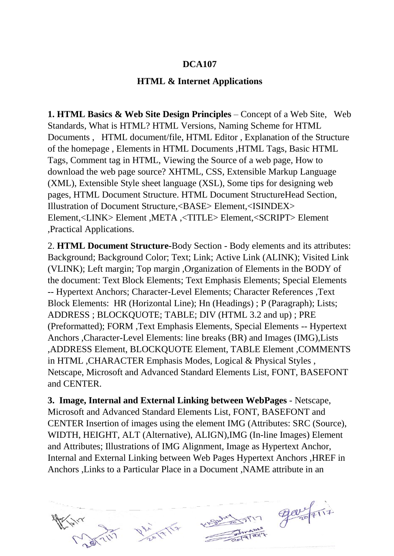#### **DCA107**

#### **HTML & Internet Applications**

**1. HTML Basics & Web Site Design Principles** – Concept of a Web Site, Web Standards, What is HTML? HTML Versions, Naming Scheme for HTML Documents , HTML document/file, HTML Editor , Explanation of the Structure of the homepage , Elements in HTML Documents ,HTML Tags, Basic HTML Tags, Comment tag in HTML, Viewing the Source of a web page, How to download the web page source? XHTML, CSS, Extensible Markup Language (XML), Extensible Style sheet language (XSL), Some tips for designing web pages, HTML Document Structure. HTML Document StructureHead Section, Illustration of Document Structure,<BASE> Element,<ISINDEX> Element,<LINK> Element ,META ,<TITLE> Element,<SCRIPT> Element ,Practical Applications.

2. **HTML Document Structure-**Body Section - Body elements and its attributes: Background; Background Color; Text; Link; Active Link (ALINK); Visited Link (VLINK); Left margin; Top margin ,Organization of Elements in the BODY of the document: Text Block Elements; Text Emphasis Elements; Special Elements -- Hypertext Anchors; Character-Level Elements; Character References ,Text Block Elements: HR (Horizontal Line); Hn (Headings) ; P (Paragraph); Lists; ADDRESS ; BLOCKQUOTE; TABLE; DIV (HTML 3.2 and up) ; PRE (Preformatted); FORM ,Text Emphasis Elements, Special Elements -- Hypertext Anchors ,Character-Level Elements: line breaks (BR) and Images (IMG),Lists ,ADDRESS Element, BLOCKQUOTE Element, TABLE Element ,COMMENTS in HTML ,CHARACTER Emphasis Modes, Logical & Physical Styles , Netscape, Microsoft and Advanced Standard Elements List, FONT, BASEFONT and CENTER.

**3. Image, Internal and External Linking between WebPages** - Netscape, Microsoft and Advanced Standard Elements List, FONT, BASEFONT and CENTER Insertion of images using the element IMG (Attributes: SRC (Source), WIDTH, HEIGHT, ALT (Alternative), ALIGN),IMG (In-line Images) Element and Attributes; Illustrations of IMG Alignment, Image as Hypertext Anchor, Internal and External Linking between Web Pages Hypertext Anchors ,HREF in Anchors ,Links to a Particular Place in a Document ,NAME attribute in an





7 gardens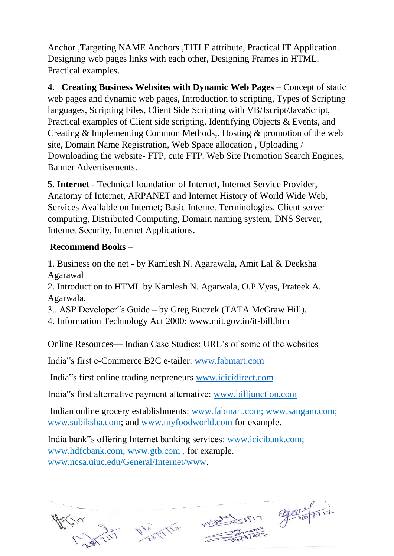Anchor ,Targeting NAME Anchors ,TITLE attribute, Practical IT Application. Designing web pages links with each other, Designing Frames in HTML. Practical examples.

**4. Creating Business Websites with Dynamic Web Pages** – Concept of static web pages and dynamic web pages, Introduction to scripting, Types of Scripting languages, Scripting Files, Client Side Scripting with VB/Jscript/JavaScript, Practical examples of Client side scripting. Identifying Objects & Events, and Creating & Implementing Common Methods,. Hosting & promotion of the web site, Domain Name Registration, Web Space allocation , Uploading / Downloading the website- FTP, cute FTP. Web Site Promotion Search Engines, Banner Advertisements.

**5. Internet -** Technical foundation of Internet, Internet Service Provider, Anatomy of Internet, ARPANET and Internet History of World Wide Web, Services Available on Internet; Basic Internet Terminologies. Client server computing, Distributed Computing, Domain naming system, DNS Server, Internet Security, Internet Applications.

#### **Recommend Books –**

1. Business on the net - by Kamlesh N. Agarawala, Amit Lal & Deeksha Agarawal

2. Introduction to HTML by Kamlesh N. Agarwala, O.P.Vyas, Prateek A. Agarwala.

3.. ASP Developer"s Guide – by Greg Buczek (TATA McGraw Hill).

4. Information Technology Act 2000: www.mit.gov.in/it-bill.htm

Online Resources— Indian Case Studies: URL's of some of the websites

India"s first e-Commerce B2C e-tailer: [www.fabmart.com](http://www.fabmart.com/)

India"s first online trading netpreneurs [www.icicidirect.com](http://www.icicidirect.com/)

India"s first alternative payment alternative: [www.billjunction.com](http://www.billjunction.com/)

Indian online grocery establishments: www.fabmart.com; www.sangam.com; www.subiksha.com; and www.myfoodworld.com for example.

India bank"s offering Internet banking services: www.icicibank.com; www.hdfcbank.com; www.gtb.com , for example. www.ncsa.uiuc.edu/General/Internet/www.



English Comment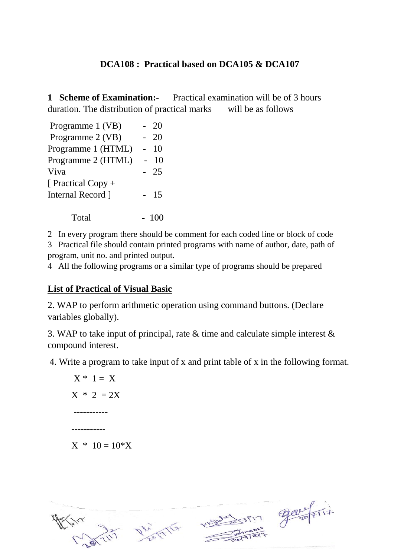#### **DCA108 : Practical based on DCA105 & DCA107**

**1 Scheme of Examination:-** Practical examination will be of 3 hours duration. The distribution of practical marks will be as follows

| Programme 1 (VB)   | 20    |
|--------------------|-------|
| Programme 2 (VB)   | 20    |
| Programme 1 (HTML) | 10    |
| Programme 2 (HTML) | 10    |
| Viva               | 25    |
| [ Practical Copy + |       |
| Internal Record 1  | $-15$ |
|                    |       |

 $Total \t - 100$ 

2 In every program there should be comment for each coded line or block of code

3 Practical file should contain printed programs with name of author, date, path of program, unit no. and printed output.

4 All the following programs or a similar type of programs should be prepared

#### **List of Practical of Visual Basic**

2. WAP to perform arithmetic operation using command buttons. (Declare variables globally).

3. WAP to take input of principal, rate & time and calculate simple interest & compound interest.

4. Write a program to take input of x and print table of x in the following format.

$$
X * 1 = X
$$
  

$$
X * 2 = 2X
$$
  
........  
........  
........  

$$
X * 10 = 10*X
$$



Esperante Partir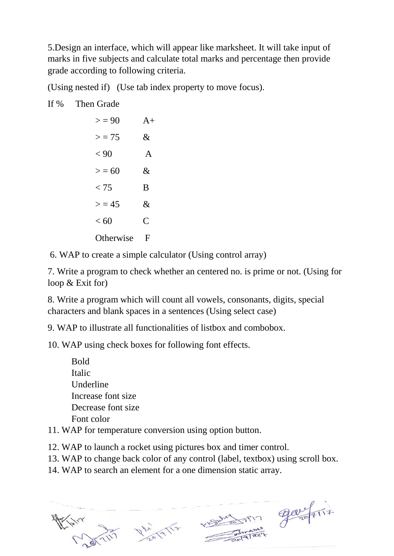5.Design an interface, which will appear like marksheet. It will take input of marks in five subjects and calculate total marks and percentage then provide grade according to following criteria.

(Using nested if) (Use tab index property to move focus).

#### If % Then Grade

| > 90      | $A+$         |
|-----------|--------------|
| $>$ = 75  | &            |
| < 90      | A            |
| > 50      | $\&$         |
| < 75      | B            |
| > 45      | &            |
| < 60      | $\mathsf{C}$ |
| Otherwise | F            |

6. WAP to create a simple calculator (Using control array)

7. Write a program to check whether an centered no. is prime or not. (Using for loop & Exit for)

8. Write a program which will count all vowels, consonants, digits, special characters and blank spaces in a sentences (Using select case)

9. WAP to illustrate all functionalities of listbox and combobox.

10. WAP using check boxes for following font effects.

| <b>Bold</b>                                                                                                                                                                                                                                                                                                                                                       |  |
|-------------------------------------------------------------------------------------------------------------------------------------------------------------------------------------------------------------------------------------------------------------------------------------------------------------------------------------------------------------------|--|
| Italic                                                                                                                                                                                                                                                                                                                                                            |  |
| Underline                                                                                                                                                                                                                                                                                                                                                         |  |
| Increase font size                                                                                                                                                                                                                                                                                                                                                |  |
| Decrease font size                                                                                                                                                                                                                                                                                                                                                |  |
| Font color                                                                                                                                                                                                                                                                                                                                                        |  |
| $\mathbf{A} \mathbf{D} \mathbf{C}$ and $\mathbf{A} \mathbf{D} \mathbf{C}$ and $\mathbf{A} \mathbf{D} \mathbf{C}$ and $\mathbf{A} \mathbf{D} \mathbf{C}$ and $\mathbf{A} \mathbf{D} \mathbf{D} \mathbf{C}$ and $\mathbf{A} \mathbf{D} \mathbf{D} \mathbf{C}$ and $\mathbf{A} \mathbf{D} \mathbf{D} \mathbf{C}$ and $\mathbf{A} \mathbf{D} \mathbf{D} \mathbf{C}$ a |  |

- 11. WAP for temperature conversion using option button.
- 12. WAP to launch a rocket using pictures box and timer control.
- 13. WAP to change back color of any control (label, textbox) using scroll box.
- 14. WAP to search an element for a one dimension static array.





KISWARD TIM GOVERNATIF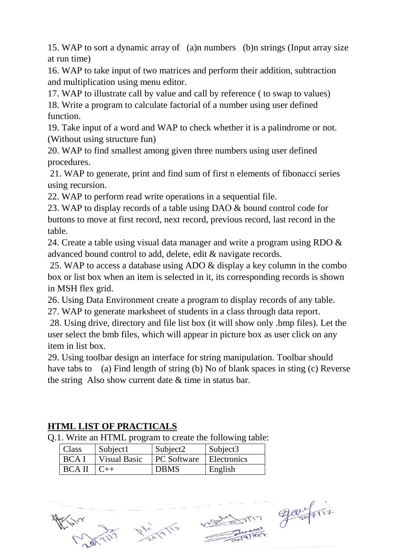15. WAP to sort a dynamic array of (a)n numbers (b)n strings (Input array size at run time)

16. WAP to take input of two matrices and perform their addition, subtraction and multiplication using menu editor.

17. WAP to illustrate call by value and call by reference ( to swap to values)

18. Write a program to calculate factorial of a number using user defined function.

19. Take input of a word and WAP to check whether it is a palindrome or not. (Without using structure fun)

20. WAP to find smallest among given three numbers using user defined procedures.

21. WAP to generate, print and find sum of first n elements of fibonacci series using recursion.

22. WAP to perform read write operations in a sequential file.

23. WAP to display records of a table using DAO & bound control code for buttons to move at first record, next record, previous record, last record in the table.

24. Create a table using visual data manager and write a program using RDO  $\&$ advanced bound control to add, delete, edit & navigate records.

25. WAP to access a database using ADO & display a key column in the combo box or list box when an item is selected in it, its corresponding records is shown in MSH flex grid.

26. Using Data Environment create a program to display records of any table.

27. WAP to generate marksheet of students in a class through data report.

28. Using drive, directory and file list box (it will show only .bmp files). Let the user select the bmb files, which will appear in picture box as user click on any item in list box.

29. Using toolbar design an interface for string manipulation. Toolbar should have tabs to (a) Find length of string (b) No of blank spaces in sting (c) Reverse the string Also show current date & time in status bar.

### **HTML LIST OF PRACTICALS**

Q.1. Write an HTML program to create the following table:

| Class          | Subject1            | Subject2                       | $\vert$ Subject3 |
|----------------|---------------------|--------------------------------|------------------|
| <b>BCAI</b>    | <b>Visual Basic</b> | <b>PC</b> Software Electronics |                  |
| $BCA II   C++$ |                     | <b>DBMS</b>                    | English          |



7 gardens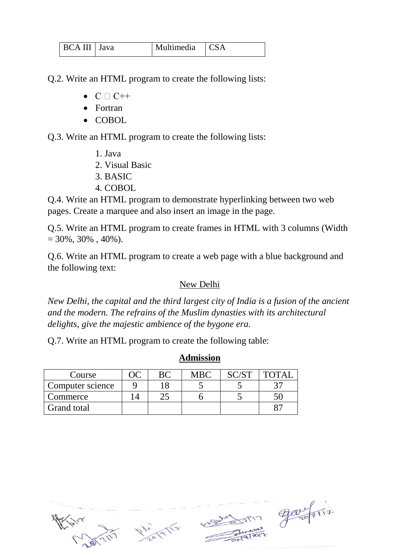| BCA III   Java | Multimedia CSA |  |
|----------------|----------------|--|
|                |                |  |

Q.2. Write an HTML program to create the following lists:

- $\bullet$  C  $\Box$  C++
- Fortran
- COBOL

Q.3. Write an HTML program to create the following lists:

- 1. Java
- 2. Visual Basic
- 3. BASIC
- 4. COBOL

Q.4. Write an HTML program to demonstrate hyperlinking between two web pages. Create a marquee and also insert an image in the page.

Q.5. Write an HTML program to create frames in HTML with 3 columns (Width  $= 30\%, 30\%$ , 40%).

Q.6. Write an HTML program to create a web page with a blue background and the following text:

#### New Delhi

*New Delhi, the capital and the third largest city of India is a fusion of the ancient and the modern. The refrains of the Muslim dynasties with its architectural delights, give the majestic ambience of the bygone era.* 

Q.7. Write an HTML program to create the following table:

| Course           |  | <b>MBC</b> | 'OTA1 |
|------------------|--|------------|-------|
| Computer science |  |            |       |
| Commerce         |  |            |       |
| Grand total      |  |            |       |

#### **Admission**



 $\frac{900}{4117}$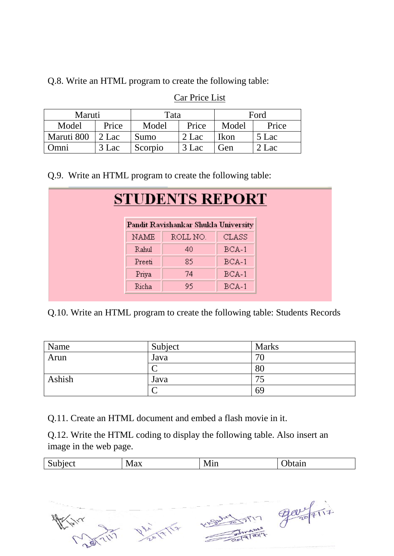Q.8. Write an HTML program to create the following table:

| Maruti     |       | Ford<br>Tata   |       |       |       |  |
|------------|-------|----------------|-------|-------|-------|--|
| Model      | Price | Price<br>Model |       | Model | Price |  |
| Maruti 800 | 2 Lac | Sumo           | 2 Lac | Ikon  | 5 Lac |  |
| Omni       | 3 Lac | Scorpio        | 3 Lac | Gen   | 2 Lac |  |

#### Car Price List

Q.9. Write an HTML program to create the following table:

| <b>STUDENTS REPORT</b> |                                      |              |  |
|------------------------|--------------------------------------|--------------|--|
|                        | Pandit Ravishankar Shukla University |              |  |
| <b>NAME</b>            | ROLL NO.                             | <b>CLASS</b> |  |
| Rahul                  | 40                                   | $BCA-1$      |  |
| Preeti                 | 85                                   | $BCA-1$      |  |
| Priya                  | 74                                   | $BCA-1$      |  |
| Richa                  | 95                                   | $BCA-1$      |  |

Q.10. Write an HTML program to create the following table: Students Records

| Name   | Subject | <b>Marks</b> |
|--------|---------|--------------|
| Arun   | Java    | <u>v</u>     |
|        |         | 80           |
| Ashish | Java    |              |
|        |         | 69           |

Q.11. Create an HTML document and embed a flash movie in it.

Q.12. Write the HTML coding to display the following table. Also insert an image in the web page.

| $\sim$<br>-----<br>$n \mapsto$<br>$v$ uc | $\sim$<br>$\mathbf{A}$<br>IV.<br>$\mathbf{1} \mathbf{v} \mathbf{1} \mathbf{a} \mathbf{\Lambda}$ | $\sim$<br>$\rightarrow$<br>78<br>171111 | <b>DIA</b><br>nam |
|------------------------------------------|-------------------------------------------------------------------------------------------------|-----------------------------------------|-------------------|
|                                          |                                                                                                 |                                         |                   |





Victorian Party

 $\pi$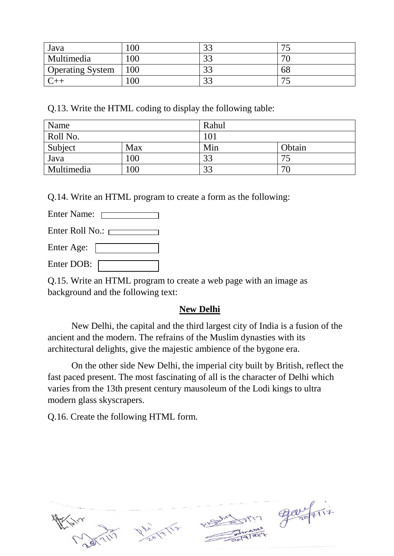| Java                    | 00  | $\sim$<br>ີ   |        |
|-------------------------|-----|---------------|--------|
| Multimedia              | 00  | $\cap$<br>ີ   | $\tau$ |
| <b>Operating System</b> | 100 | ر ر           | 68     |
|                         | 00  | $\sim$<br>ر ر |        |

Q.13. Write the HTML coding to display the following table:

| Name       |     | Rahul |        |  |
|------------|-----|-------|--------|--|
| Roll No.   |     | 101   |        |  |
| Subject    | Max | Min   | Obtain |  |
| Java       | 100 | 33    | 75     |  |
| Multimedia | 100 | 33    | 70     |  |

Q.14. Write an HTML program to create a form as the following:

Enter Name:

Enter Roll No.:

Enter Age:

Enter DOB:

Q.15. Write an HTML program to create a web page with an image as background and the following text:

#### **New Delhi**

New Delhi, the capital and the third largest city of India is a fusion of the ancient and the modern. The refrains of the Muslim dynasties with its architectural delights, give the majestic ambience of the bygone era.

On the other side New Delhi, the imperial city built by British, reflect the fast paced present. The most fascinating of all is the character of Delhi which varies from the 13th present century mausoleum of the Lodi kings to ultra modern glass skyscrapers.

Q.16. Create the following HTML form.



 $\pi$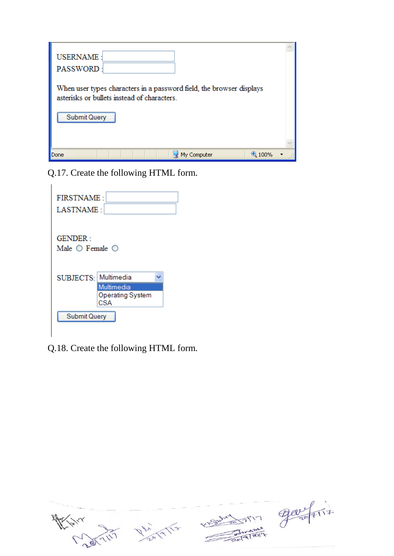| <b>USERNAME:</b><br>PASSWORD:                                                                                       |  |
|---------------------------------------------------------------------------------------------------------------------|--|
| When user types characters in a password field, the browser displays<br>asterisks or bullets instead of characters. |  |
| <b>Submit Query</b>                                                                                                 |  |
|                                                                                                                     |  |
| My Computer<br>Done                                                                                                 |  |

Q.17. Create the following HTML form.

| <b>FIRSTNAME:</b><br>LASTNAME:                |                                              |  |
|-----------------------------------------------|----------------------------------------------|--|
| GENDER :<br>Male $\bigcirc$ Female $\bigcirc$ |                                              |  |
| SUBJECTS: Multimedia                          | Multimedia<br><b>Operating System</b><br>CSA |  |
| <b>Submit Query</b>                           |                                              |  |

Q.18. Create the following HTML form.

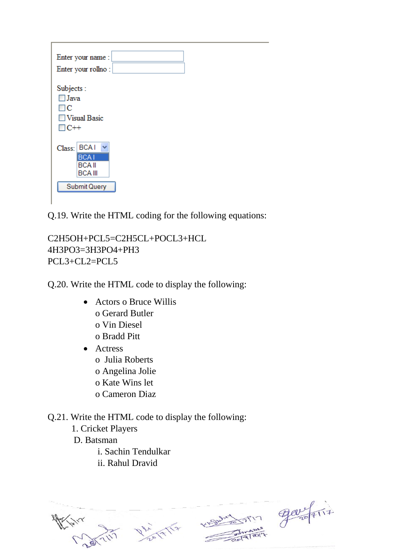| Enter your name:<br>Enter your rollno:                                                 |
|----------------------------------------------------------------------------------------|
| Subjects:<br>$\Box$ Java<br>ПC<br>Visual Basic<br>$\Box C++$                           |
| Class:   BCA I<br><b>BCAI</b><br><b>BCAII</b><br><b>BCA III</b><br><b>Submit Query</b> |

Q.19. Write the HTML coding for the following equations:

C2H5OH+PCL5=C2H5CL+POCL3+HCL 4H3PO3=3H3PO4+PH3 PCL3+CL2=PCL5

Q.20. Write the HTML code to display the following:

- Actors o Bruce Willis o Gerard Butler o Vin Diesel o Bradd Pitt
- Actress
	- o Julia Roberts
	- o Angelina Jolie
	- o Kate Wins let
	- o Cameron Diaz

Q.21. Write the HTML code to display the following:

1. Cricket Players

D. Batsman

i. Sachin Tendulkar

ii. Rahul Dravid

 $\frac{9000}{100}$  first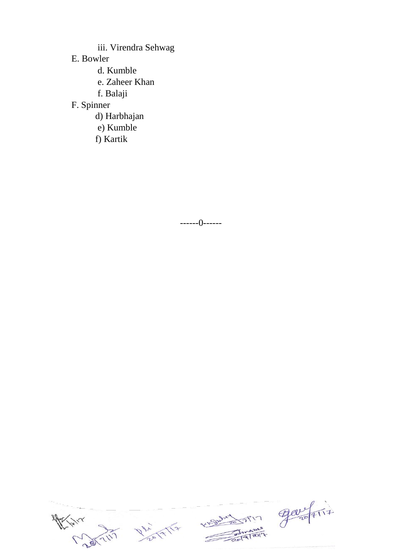iii. Virendra Sehwag

E. Bowler

- d. Kumble
- e. Zaheer Khan
- f. Balaji

### F. Spinner

- d) Harbhajan
- e) Kumble
- f) Kartik

------0------